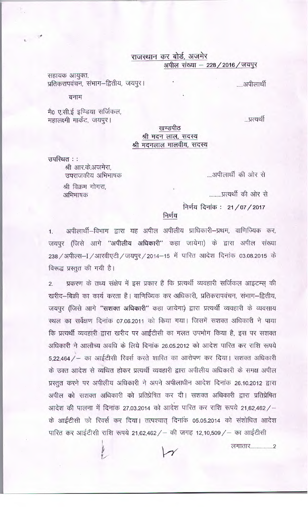राजस्थान कर बोर्ड, अजमेर अपील संख्या - 228 / 2016 / जयपुर

.....अपीलार्थी

...प्रत्यर्थी

सहायक आयुक्त, प्रतिकरापवंचन, संभाग-द्वितीय, जयपुर।

बनाम

मै0 ए.सी.ई इण्डिया सर्जिकल, महालक्ष्मी मार्केट, जयपूर।

## खण्डपीठ श्री मदन लाल, सदस्य श्री मदनलाल मालवीय, सदस्य

उपस्थित ::

श्री आर.के.अजमेरा. उपराजकीय अभिभाषक

श्री विक्रम गोगरा. अभिभाषक

....अपीलार्थी की ओर से

.........प्रत्यर्थी की ओर से

निर्णय दिनांक: 21/07/2017

निर्णय

अपीलार्थी-विभाग द्वारा यह अपील अपीलीय प्राधिकारी-प्रथम, वाणिज्यिक कर,  $1.$ जयपुर (जिसे आगे "अपीलीय अधिकारी" कहा जायेगा) के द्वारा अपील संख्या 238 / अपील्स-I / आरवीएटी / जयपूर / 2014-15 में पारित आदेश दिनांक 03.08.2015 के विरूद्ध प्रस्तुत की गयी है।

प्रकरण के तथ्य संक्षेप में इस प्रकार हैं कि प्रत्यर्थी व्यवहारी सर्जिकल आइटम्स् की  $2.$ खरीद-बिक्री का कार्य करता है। वाणिज्यिक कर अधिकारी, प्रतिकरापवंचन, संभाग-द्वितीय, जयपुर (जिसे आगे "सशक्त अधिकारी" कहा जायेगा) द्वारा प्रत्यर्थी व्यवहारी के व्यवसाय स्थल का सर्वेक्षण दिनांक 07.06.2011 को किया गया। जिसमें सशक्त अधिकारी ने पाया कि प्रत्यर्थी व्यवहारी द्वारा खरीद पर आईटीसी का गलत उपभोग किया है, इस पर सशक्त अधिकारी ने आलौच्य अवधि के लिये दिनांक 26.05.2012 को आदेश पारित कर राशि रूपये 5,22,464 / - का आईटीसी रिवर्स करते शास्ति का आरोपण कर दिया। सशक्त अधिकारी के उक्त आदेश से व्यथित होकर प्रत्यर्थी व्यवहारी द्वारा अपीलीय अधिकारी के समक्ष अपील प्रस्तुत करने पर अपीलीय अधिकारी ने अपने अपीलाधीन आदेश दिनांक 26.10.2012 द्वारा अपील को सशक्त अधिकारी को प्रतिप्रेषित कर दी। सशक्त अधिकारी द्वारा प्रतिप्रेषित आदेश की पालना में दिनांक 27.03.2014 को आदेश पारित कर राशि रूपये 21,62,462/-के आईटीसी को रिवर्स कर दिया। तत्पश्चात् दिनांक 05.05.2014 को संशोधित आदेश

पारित कर आईटीसी राशि रूपये 21,62,462 / – की जगह 12,10,509 / – का आईटीसी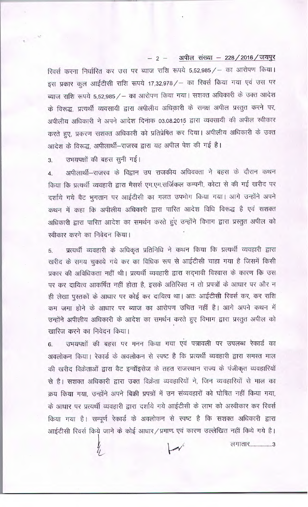## 2 - अपील संख्या - 228 / 2016 / जयपुर

रिवर्स करना निर्धारित कर उस पर ब्याज राशि रूपये 5,52,985 / - का आरोपण किया। इस प्रकार कुल आईटीसी राशि रूपये 17,32,978 / - का रिवर्स किया गया एवं उस पर ब्याज राशि रूपये 5,52,985 / - का आरोपण किया गया। सशक्त अधिकारी के उक्त आदेश के विरूद्ध, प्रत्यर्थी व्यवसायी द्वारा अपीलीय अधिकारी के समक्ष अपील प्रस्तुत करने पर, अपीलीय अधिकारी ने अपने आदेश दिनांक 03.08.2015 द्वारा व्यवसायी की अपील स्वीकार करते हुए, प्रकरण सशक्त अधिकारी को प्रतिप्रेषित कर दिया। अपीलीय अधिकारी के उक्त आदेश के विरूद्ध, अपीलार्थी-राजस्व द्वारा यह अपील पेश की गई है।

## उभयपक्षों की बहस सुनी गई। 3.

अपीलार्थी–राजस्व के विद्वान उप राजकीय अधिवक्ता ने बहस के दौरान कथन  $4.$ किया कि प्रत्यर्थी व्यवहारी द्वारा मैसर्स एम.एम.सर्जिकल कम्पनी, कोटा से की गई खरीद पर दर्शाये गये वैट भूगतान पर आईटीसी का गलत उपभोग किया गया। आगे उन्होंने अपने कथन में कहा कि अपीलीय अधिकारी द्वारा पारित आदेश विधि विरूद्ध है एवं सशक्त अधिकारी द्वारा पारित आदेश का समर्थन करते हुए उन्होंने विभाग द्वारा प्रस्तुत अपील को स्वीकार करने का निवेदन किया।

प्रत्यर्थी व्यवहारी के अधिकृत प्रतिनिधि ने कथन किया कि प्रत्यर्थी व्यवहारी द्वारा 5. खरीद के समय चुकाये गये कर का विधिक रूप से आईटीसी चाहा गया है जिसमें किसी प्रकार की अविधिकता नहीं थी। प्रत्यर्थी व्यवहारी द्वारा सद्भावी विश्वास के कारण कि उस पर कर दायित्व आकर्षित नहीं होता है, इसके अतिरिक्त न तो प्रपत्रों के आधार पर और न ही लेखा पुस्तकों के आधार पर कोई कर दायित्व था। अतः आईटीसी रिवर्स कर, कर राशि कम जमा होने के आधार पर ब्याज का आरोपण उचित नहीं है। आगे अपने कथन में उन्होंने अपीलीय अधिकारी के आदेश का समर्थन करते हुए विभाग द्वारा प्रस्तुत अपील को खारिज करने का निवेदन किया।

उभयपक्षों की बहस पर मनन किया गया एवं पत्रावली पर उपलब्ध रेकार्ड का 6. अवलोकन किया। रेकार्ड के अवलोकन से स्पष्ट है कि प्रत्यर्थी व्यवहारी द्वारा समस्त माल की खरीद विक्रेताओं द्वारा वैट इन्वॉइसेज के तहत राजस्थान राज्य के पंजीकृत व्यवहारियों से है। सशक्त अधिकारी द्वारा उक्त विक्रेता व्यवहारियों ने, जिन व्यवहारियों से माल का क्रय किया गया, उन्होंने अपने बिक्री प्रपत्रों में उन संव्यवहारों को घोषित नहीं किया गया, के आधार पर प्रत्यर्थी व्यवहारी द्वारा दर्शाये गये आईटीसी के लाभ को अस्वीकार कर रिवर्स किया गया है। सम्पूर्ण रेकार्ड के अवलोकन से स्पष्ट है कि सशक्त अधिकारी द्वारा आईटीसी रिवर्स किये जाने के कोई आधार/प्रमाण एवं कारण उल्लेखित नहीं किये गये है।

लगातार...................3